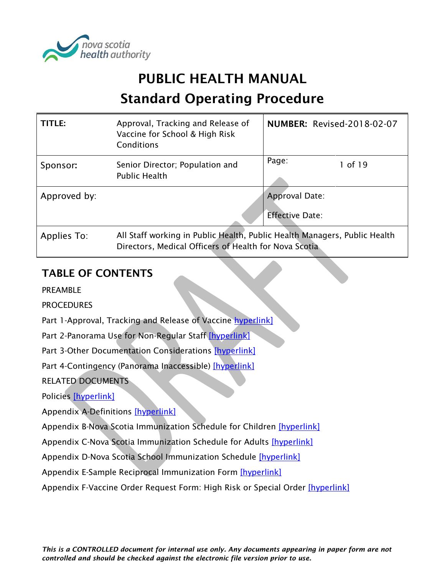

# PUBLIC HEALTH MANUAL

# Standard Operating Procedure

| TITLE:       | Approval, Tracking and Release of<br>Vaccine for School & High Risk<br>Conditions                                                  | <b>NUMBER: Revised-2018-02-07</b> |  |
|--------------|------------------------------------------------------------------------------------------------------------------------------------|-----------------------------------|--|
| Sponsor:     | Senior Director; Population and<br><b>Public Health</b>                                                                            | Page:<br>1 of 19                  |  |
| Approved by: |                                                                                                                                    | Approval Date:                    |  |
|              |                                                                                                                                    | <b>Effective Date:</b>            |  |
| Applies To:  | All Staff working in Public Health, Public Health Managers, Public Health<br>Directors, Medical Officers of Health for Nova Scotia |                                   |  |

# TABLE OF CONTENTS

PREAMBLE

**PROCEDURES** 

Part 1-Approval, Tracking and Release of Vaccine [hyperlink\]](#page-1-0)

Part 2-Panorama Use for Non-Regular Staff [\[hyperlink\]](#page-5-0)

Part 3-Other Documentation Considerations [\[hyperlink\]](#page-6-0)

Part 4-Contingency (Panorama Inaccessible) [\[hyperlink\]](#page-7-0)

RELATED DOCUMENTS

Policies [\[hyperlink\]](#page-10-0)

Appendix A-Definitions [\[hyperlink\]](#page-11-0)

Appendix B-Nova Scotia Immunization Schedule for Children [\[hyperlink\]](#page-13-0)

Appendix C-Nova Scotia Immunization Schedule for Adults [\[hyperlink\]](#page-14-0)

Appendix D-Nova Scotia School Immunization Schedule [\[hyperlink\]](#page-15-0)

Appendix E-Sample Reciprocal Immunization Form [\[hyperlink\]](#page-16-0)

Appendix F-Vaccine Order Request Form: High Risk or Special Order [\[hyperlink\]](#page-17-0)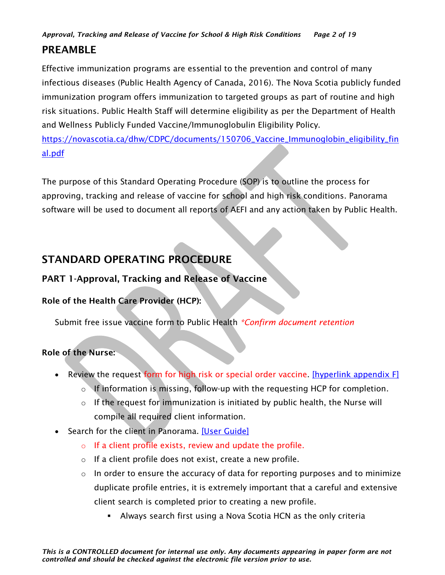# PREAMBLE

Effective immunization programs are essential to the prevention and control of many infectious diseases (Public Health Agency of Canada, 2016). The Nova Scotia publicly funded immunization program offers immunization to targeted groups as part of routine and high risk situations. Public Health Staff will determine eligibility as per the Department of Health and Wellness Publicly Funded Vaccine/Immunoglobulin Eligibility Policy.

[https://novascotia.ca/dhw/CDPC/documents/150706\\_Vaccine\\_Immunoglobin\\_eligibility\\_fin](https://novascotia.ca/dhw/CDPC/documents/150706_Vaccine_Immunoglobin_eligibility_final.pdf) [al.pdf](https://novascotia.ca/dhw/CDPC/documents/150706_Vaccine_Immunoglobin_eligibility_final.pdf)

The purpose of this Standard Operating Procedure (SOP) is to outline the process for approving, tracking and release of vaccine for school and high risk conditions. Panorama software will be used to document all reports of AEFI and any action taken by Public Health.

# STANDARD OPERATING PROCEDURE

# <span id="page-1-0"></span>PART 1-Approval, Tracking and Release of Vaccine

# Role of the Health Care Provider (HCP):

Submit free issue vaccine form to Public Health *\*Confirm document retention*

# Role of the Nurse:

- Review the request form for high risk or special order vaccine. [\[hyperlink appendix F\]](#page-16-0)
	- $\circ$  If information is missing, follow-up with the requesting HCP for completion.
	- $\circ$  If the request for immunization is initiated by public health, the Nurse will compile all required client information.
- Search for the client in Panorama. [\[User Guide\]](https://support.novascotia.ca/sites/default/files/docs/immunization-user-guides/PNS%20User%20Guide%20CLT%20101%20-%20Basic%20Client%20Records%20Management.pdf)
	- $\circ$  If a client profile exists, review and update the profile.
	- o If a client profile does not exist, create a new profile.
	- $\circ$  In order to ensure the accuracy of data for reporting purposes and to minimize duplicate profile entries, it is extremely important that a careful and extensive client search is completed prior to creating a new profile.
		- **EXED Always search first using a Nova Scotia HCN as the only criteria**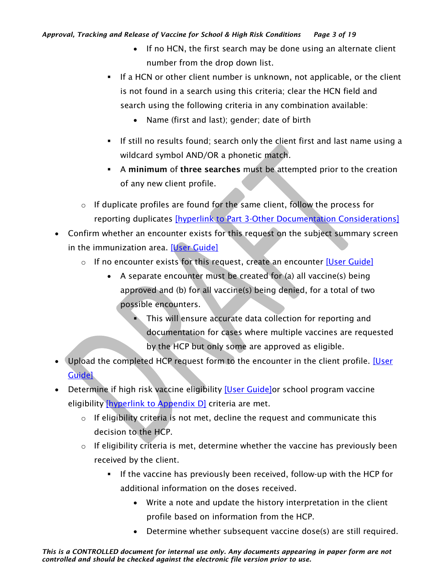- If no HCN, the first search may be done using an alternate client number from the drop down list.
- **.** If a HCN or other client number is unknown, not applicable, or the client is not found in a search using this criteria; clear the HCN field and search using the following criteria in any combination available:
	- Name (first and last); gender; date of birth
- If still no results found; search only the client first and last name using a wildcard symbol AND/OR a phonetic match.
- **EXECUTE:** A minimum of three searches must be attempted prior to the creation of any new client profile.
- o If duplicate profiles are found for the same client, follow the process for reporting duplicates [\[hyperlink to Part 3-Other Documentation Considerations\]](#page-6-0)
- Confirm whether an encounter exists for this request on the subject summary screen in the immunization area. [\[User Guide\]](https://support.novascotia.ca/sites/default/files/docs/immunization-user-guides/PNS%20User%20Guide%20IMM%20101%20-%20Single%20Immunization.pdf)
	- o If no encounter exists for this request, create an encounter [\[User Guide\]](https://support.novascotia.ca/sites/default/files/docs/immunization-user-guides/PNS%20User%20Guide%20IMM%20101%20-%20Single%20Immunization.pdf)
		- A separate encounter must be created for (a) all vaccine(s) being approved and (b) for all vaccine(s) being denied, for a total of two possible encounters.
			- This will ensure accurate data collection for reporting and documentation for cases where multiple vaccines are requested by the HCP but only some are approved as eligible.
- Upload the completed HCP request form to the encounter in the client profile. [User [Guide\]](https://support.novascotia.ca/sites/default/files/docs/immunization-user-guides/PNS%20User%20Guide%20IMM%20101%20-%20Single%20Immunization.pdf)
- Determine if high risk vaccine eligibility **[User Guide]** or school program vaccine eligibility [\[hyperlink to Appendix D\]](#page-15-0) criteria are met.
	- o If eligibility criteria is not met, decline the request and communicate this decision to the HCP.
	- $\circ$  If eligibility criteria is met, determine whether the vaccine has previously been received by the client.
		- **.** If the vaccine has previously been received, follow-up with the HCP for additional information on the doses received.
			- Write a note and update the history interpretation in the client profile based on information from the HCP.
			- Determine whether subsequent vaccine dose(s) are still required.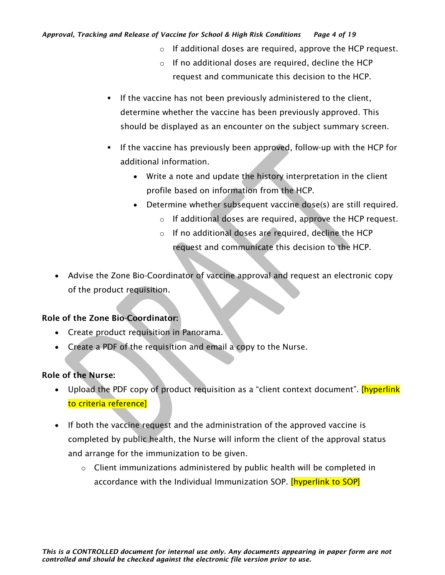#### *Approval, Tracking and Release of Vaccine for School & High Risk Conditions Page 4 of 19*

- o If additional doses are required, approve the HCP request.
- o If no additional doses are required, decline the HCP request and communicate this decision to the HCP.
- **.** If the vaccine has not been previously administered to the client, determine whether the vaccine has been previously approved. This should be displayed as an encounter on the subject summary screen.
- If the vaccine has previously been approved, follow-up with the HCP for additional information.
	- Write a note and update the history interpretation in the client profile based on information from the HCP.
	- Determine whether subsequent vaccine dose(s) are still required.
		- o If additional doses are required, approve the HCP request.
		- o If no additional doses are required, decline the HCP request and communicate this decision to the HCP.
- Advise the Zone Bio-Coordinator of vaccine approval and request an electronic copy of the product requisition.

#### Role of the Zone Bio-Coordinator:

- Create product requisition in Panorama.
- Create a PDF of the requisition and email a copy to the Nurse.

#### Role of the Nurse:

- Upload the PDF copy of product requisition as a "client context document". [hyperlink to criteria reference]
- If both the vaccine request and the administration of the approved vaccine is completed by public health, the Nurse will inform the client of the approval status and arrange for the immunization to be given.
	- $\circ$  Client immunizations administered by public health will be completed in accordance with the Individual Immunization SOP. **[hyperlink to SOP]**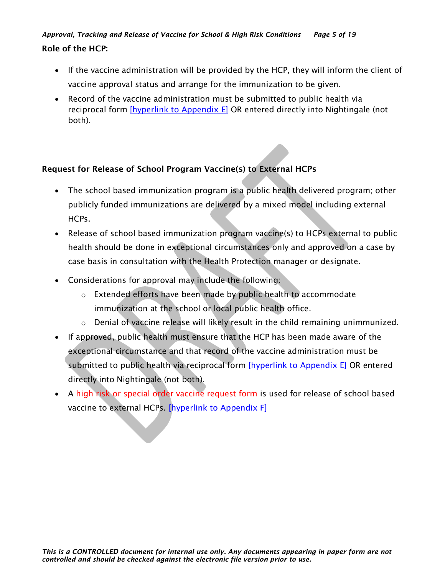- If the vaccine administration will be provided by the HCP, they will inform the client of vaccine approval status and arrange for the immunization to be given.
- Record of the vaccine administration must be submitted to public health via reciprocal form *[hyperlink to Appendix E]* OR entered directly into Nightingale (not both).

## Request for Release of School Program Vaccine(s) to External HCPs

- The school based immunization program is a public health delivered program; other publicly funded immunizations are delivered by a mixed model including external HCPs.
- Release of school based immunization program vaccine(s) to HCPs external to public health should be done in exceptional circumstances only and approved on a case by case basis in consultation with the Health Protection manager or designate.
- Considerations for approval may include the following:
	- o Extended efforts have been made by public health to accommodate immunization at the school or local public health office.
	- o Denial of vaccine release will likely result in the child remaining unimmunized.
- If approved, public health must ensure that the HCP has been made aware of the exceptional circumstance and that record of the vaccine administration must be submitted to public health via reciprocal form [\[hyperlink to Appendix E\]](#page-16-0) OR entered directly into Nightingale (not both).
- A high risk or special order vaccine request form is used for release of school based vaccine to external HCPs. [\[hyperlink to Appendix F\]](#page-17-0)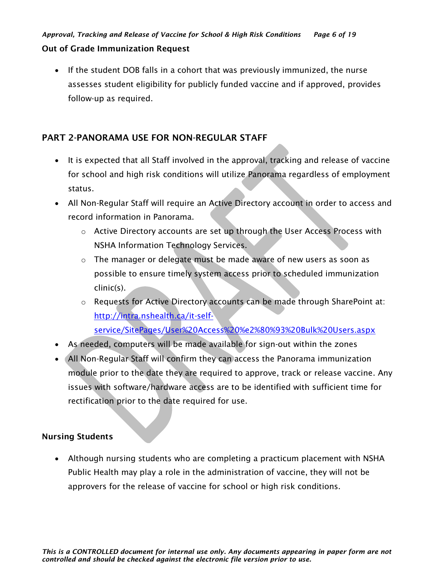#### Out of Grade Immunization Request

• If the student DOB falls in a cohort that was previously immunized, the nurse assesses student eligibility for publicly funded vaccine and if approved, provides follow-up as required.

# <span id="page-5-0"></span>PART 2-PANORAMA USE FOR NON-REGULAR STAFF

- It is expected that all Staff involved in the approval, tracking and release of vaccine for school and high risk conditions will utilize Panorama regardless of employment status.
- All Non-Regular Staff will require an Active Directory account in order to access and record information in Panorama.
	- o Active Directory accounts are set up through the User Access Process with NSHA Information Technology Services.
	- o The manager or delegate must be made aware of new users as soon as possible to ensure timely system access prior to scheduled immunization clinic(s).
	- o Requests for Active Directory accounts can be made through SharePoint at: [http://intra.nshealth.ca/it-self](http://intra.nshealth.ca/it-self-service/SitePages/User%20Access%20%e2%80%93%20Bulk%20Users.aspx)[service/SitePages/User%20Access%20%e2%80%93%20Bulk%20Users.aspx](http://intra.nshealth.ca/it-self-service/SitePages/User%20Access%20%e2%80%93%20Bulk%20Users.aspx)
- As needed, computers will be made available for sign-out within the zones
- All Non-Regular Staff will confirm they can access the Panorama immunization module prior to the date they are required to approve, track or release vaccine. Any issues with software/hardware access are to be identified with sufficient time for rectification prior to the date required for use.

# Nursing Students

• Although nursing students who are completing a practicum placement with NSHA Public Health may play a role in the administration of vaccine, they will not be approvers for the release of vaccine for school or high risk conditions.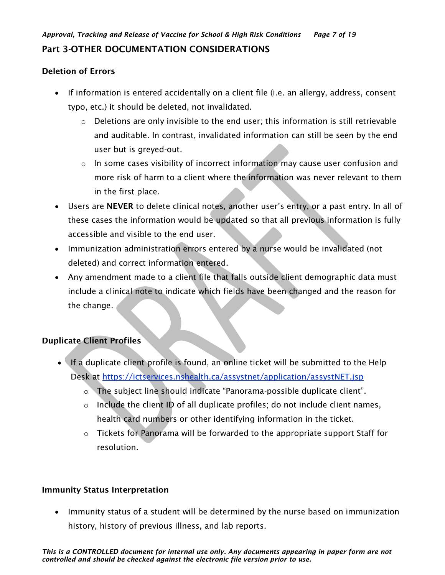## <span id="page-6-0"></span>Deletion of Errors

- If information is entered accidentally on a client file (i.e. an allergy, address, consent typo, etc.) it should be deleted, not invalidated.
	- o Deletions are only invisible to the end user; this information is still retrievable and auditable. In contrast, invalidated information can still be seen by the end user but is greyed-out.
	- $\circ$  In some cases visibility of incorrect information may cause user confusion and more risk of harm to a client where the information was never relevant to them in the first place.
- Users are NEVER to delete clinical notes, another user's entry, or a past entry. In all of these cases the information would be updated so that all previous information is fully accessible and visible to the end user.
- Immunization administration errors entered by a nurse would be invalidated (not deleted) and correct information entered.
- Any amendment made to a client file that falls outside client demographic data must include a clinical note to indicate which fields have been changed and the reason for the change.

## Duplicate Client Profiles

- If a duplicate client profile is found, an online ticket will be submitted to the Help Desk at<https://ictservices.nshealth.ca/assystnet/application/assystNET.jsp>
	- o The subject line should indicate "Panorama-possible duplicate client".
	- o Include the client ID of all duplicate profiles; do not include client names, health card numbers or other identifying information in the ticket.
	- $\circ$  Tickets for Panorama will be forwarded to the appropriate support Staff for resolution.

## Immunity Status Interpretation

• Immunity status of a student will be determined by the nurse based on immunization history, history of previous illness, and lab reports.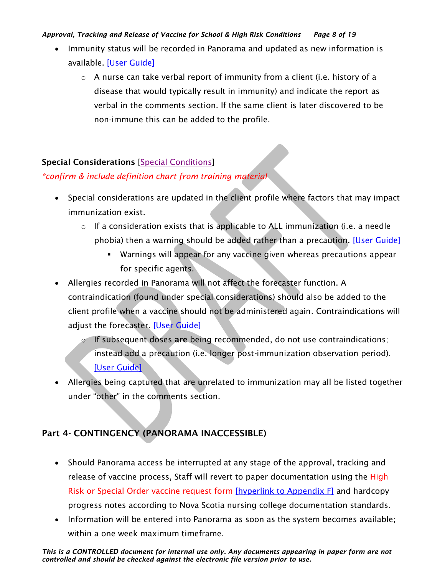#### *Approval, Tracking and Release of Vaccine for School & High Risk Conditions Page 8 of 19*

- Immunity status will be recorded in Panorama and updated as new information is available. [\[User Guide\]](https://support.novascotia.ca/sites/default/files/docs/immunization-user-guides/PNS%20User%20Guide%20IMM%20101%20-%20Single%20Immunization.pdf)
	- $\circ$  A nurse can take verbal report of immunity from a client (i.e. history of a disease that would typically result in immunity) and indicate the report as verbal in the comments section. If the same client is later discovered to be non-immune this can be added to the profile.

## Special Considerations [\[Special Conditions\]](https://support.novascotia.ca/sites/default/files/docs/immunization-user-guides/Panorama%20Tips%20%26%20Tricks_Special%20Considerations.pdf)

## *\*confirm & include definition chart from training material*

- Special considerations are updated in the client profile where factors that may impact immunization exist.
	- $\circ$  If a consideration exists that is applicable to ALL immunization (i.e. a needle phobia) then a warning should be added rather than a precaution. [\[User Guide\]](https://support.novascotia.ca/sites/default/files/docs/immunization-user-guides/PNS%20User%20Guide%20CLT%20102-%20Advanced%20Client%20Records%20Management.pdf)
		- Warnings will appear for any vaccine given whereas precautions appear for specific agents.
- Allergies recorded in Panorama will not affect the forecaster function. A contraindication (found under special considerations) should also be added to the client profile when a vaccine should not be administered again. Contraindications will adjust the forecaster. [\[User Guide\]](https://support.novascotia.ca/sites/default/files/docs/immunization-user-guides/PNS%20User%20Guide%20IMM%20101%20-%20Single%20Immunization.pdf)
	- $\circ$  If subsequent doses are being recommended, do not use contraindications; instead add a precaution (i.e. longer post-immunization observation period). [\[User Guide\]](https://support.novascotia.ca/sites/default/files/docs/immunization-user-guides/PNS%20User%20Guide%20IMM%20101%20-%20Single%20Immunization.pdf)
- Allergies being captured that are unrelated to immunization may all be listed together under "other" in the comments section.

# <span id="page-7-0"></span>Part 4- CONTINGENCY (PANORAMA INACCESSIBLE)

- Should Panorama access be interrupted at any stage of the approval, tracking and release of vaccine process, Staff will revert to paper documentation using the High Risk or Special Order vaccine request form [\[hyperlink to Appendix F\]](#page-17-0) and hardcopy progress notes according to Nova Scotia nursing college documentation standards.
- Information will be entered into Panorama as soon as the system becomes available; within a one week maximum timeframe.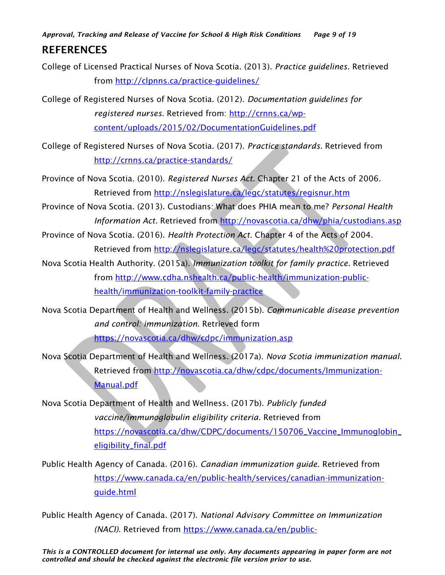*Approval, Tracking and Release of Vaccine for School & High Risk Conditions Page 9 of 19* **REFERENCES** 

College of Licensed Practical Nurses of Nova Scotia. (2013). *Practice guidelines.* Retrieved from<http://clpnns.ca/practice-guidelines/>

College of Registered Nurses of Nova Scotia. (2012). *Documentation guidelines for registered nurses.* Retrieved from: [http://crnns.ca/wp](http://crnns.ca/wp-content/uploads/2015/02/DocumentationGuidelines.pdf)[content/uploads/2015/02/DocumentationGuidelines.pdf](http://crnns.ca/wp-content/uploads/2015/02/DocumentationGuidelines.pdf)

College of Registered Nurses of Nova Scotia. (2017). *Practice standards*. Retrieved from <http://crnns.ca/practice-standards/>

Province of Nova Scotia. (2010). *Registered Nurses Act.* Chapter 21 of the Acts of 2006. Retrieved from<http://nslegislature.ca/legc/statutes/regisnur.htm>

Province of Nova Scotia. (2013). Custodians: What does PHIA mean to me? *Personal Health Information Act.* Retrieved from<http://novascotia.ca/dhw/phia/custodians.asp>

Province of Nova Scotia. (2016). *Health Protection Act.* Chapter 4 of the Acts of 2004. Retrieved from<http://nslegislature.ca/legc/statutes/health%20protection.pdf>

Nova Scotia Health Authority. (2015a). *Immunization toolkit for family practice*. Retrieved from [http://www.cdha.nshealth.ca/public-health/immunization-public](http://www.cdha.nshealth.ca/public-health/immunization-public-health/immunization-toolkit-family-practice)[health/immunization-toolkit-family-practice](http://www.cdha.nshealth.ca/public-health/immunization-public-health/immunization-toolkit-family-practice)

Nova Scotia Department of Health and Wellness. (2015b). *Communicable disease prevention and control: immunization.* Retrieved form <https://novascotia.ca/dhw/cdpc/immunization.asp>

Nova Scotia Department of Health and Wellness. (2017a). *Nova Scotia immunization manual*. Retrieved from [http://novascotia.ca/dhw/cdpc/documents/Immunization-](http://novascotia.ca/dhw/cdpc/documents/Immunization-Manual.pdf)[Manual.pdf](http://novascotia.ca/dhw/cdpc/documents/Immunization-Manual.pdf)

Nova Scotia Department of Health and Wellness. (2017b). *Publicly funded vaccine/immunoglobulin eligibility criteria.* Retrieved from [https://novascotia.ca/dhw/CDPC/documents/150706\\_Vaccine\\_Immunoglobin\\_](https://novascotia.ca/dhw/CDPC/documents/150706_Vaccine_Immunoglobin_eligibility_final.pdf) [eligibility\\_final.pdf](https://novascotia.ca/dhw/CDPC/documents/150706_Vaccine_Immunoglobin_eligibility_final.pdf)

Public Health Agency of Canada. (2016). *Canadian immunization guide.* Retrieved from [https://www.canada.ca/en/public-health/services/canadian-immunization](https://www.canada.ca/en/public-health/services/canadian-immunization-guide.html)[guide.html](https://www.canada.ca/en/public-health/services/canadian-immunization-guide.html)

Public Health Agency of Canada. (2017). *National Advisory Committee on Immunization (NACI)*. Retrieved from [https://www.canada.ca/en/public-](https://www.canada.ca/en/public-health/services/immunization/national-advisory-committee-on-immunization-naci.html)

*This is a CONTROLLED document for internal use only. Any documents appearing in paper form are not controlled and should be checked against the electronic file version prior to use.*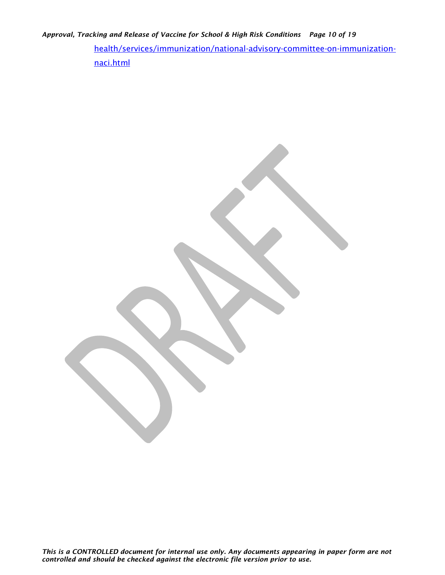*Approval, Tracking and Release of Vaccine for School & High Risk Conditions Page 10 of 19*

[health/services/immunization/national-advisory-committee-on-immunization](https://www.canada.ca/en/public-health/services/immunization/national-advisory-committee-on-immunization-naci.html)[naci.html](https://www.canada.ca/en/public-health/services/immunization/national-advisory-committee-on-immunization-naci.html)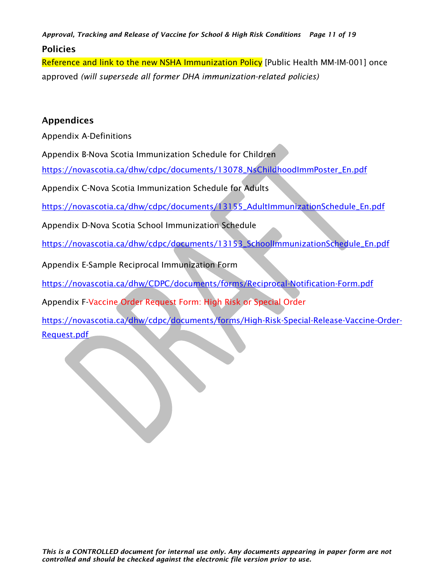*Approval, Tracking and Release of Vaccine for School & High Risk Conditions Page 11 of 19* Policies

<span id="page-10-0"></span>Reference and link to the new NSHA Immunization Policy [Public Health MM-IM-001] once approved *(will supersede all former DHA immunization-related policies)*

#### **Appendices**

Appendix A-Definitions

Appendix B-Nova Scotia Immunization Schedule for Children

[https://novascotia.ca/dhw/cdpc/documents/13078\\_NsChildhoodImmPoster\\_En.pdf](https://novascotia.ca/dhw/cdpc/documents/13078_NsChildhoodImmPoster_En.pdf)

Appendix C-Nova Scotia Immunization Schedule for Adults

[https://novascotia.ca/dhw/cdpc/documents/13155\\_AdultImmunizationSchedule\\_En.pdf](https://novascotia.ca/dhw/cdpc/documents/13155_AdultImmunizationSchedule_En.pdf)

Appendix D-Nova Scotia School Immunization Schedule

[https://novascotia.ca/dhw/cdpc/documents/13153\\_SchoolImmunizationSchedule\\_En.pdf](https://novascotia.ca/dhw/cdpc/documents/13153_SchoolImmunizationSchedule_En.pdf)

Appendix E-Sample Reciprocal Immunization Form

<https://novascotia.ca/dhw/CDPC/documents/forms/Reciprocal-Notification-Form.pdf>

Appendix F-Vaccine Order Request Form: High Risk or Special Order

[https://novascotia.ca/dhw/cdpc/documents/forms/High-Risk-Special-Release-Vaccine-Order-](https://novascotia.ca/dhw/cdpc/documents/forms/High-Risk-Special-Release-Vaccine-Order-Request.pdf)[Request.pdf](https://novascotia.ca/dhw/cdpc/documents/forms/High-Risk-Special-Release-Vaccine-Order-Request.pdf)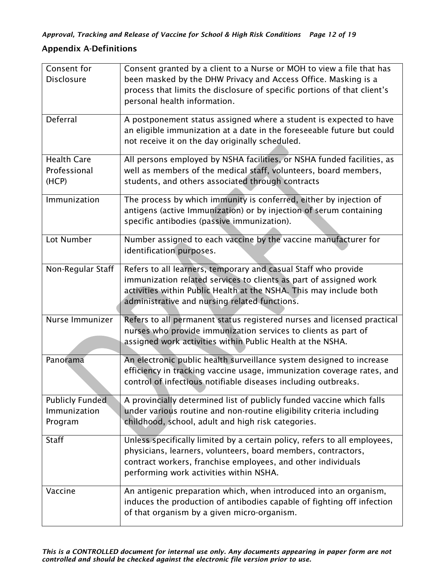## <span id="page-11-0"></span>Appendix A-Definitions

| Consent for            | Consent granted by a client to a Nurse or MOH to view a file that has                                                 |
|------------------------|-----------------------------------------------------------------------------------------------------------------------|
| <b>Disclosure</b>      | been masked by the DHW Privacy and Access Office. Masking is a                                                        |
|                        | process that limits the disclosure of specific portions of that client's                                              |
|                        | personal health information.                                                                                          |
| Deferral               | A postponement status assigned where a student is expected to have                                                    |
|                        | an eligible immunization at a date in the foreseeable future but could                                                |
|                        | not receive it on the day originally scheduled.                                                                       |
| <b>Health Care</b>     | All persons employed by NSHA facilities, or NSHA funded facilities, as                                                |
| Professional           | well as members of the medical staff, volunteers, board members,                                                      |
| (HCP)                  | students, and others associated through contracts                                                                     |
| Immunization           | The process by which immunity is conferred, either by injection of                                                    |
|                        | antigens (active Immunization) or by injection of serum containing                                                    |
|                        | specific antibodies (passive immunization).                                                                           |
| Lot Number             | Number assigned to each vaccine by the vaccine manufacturer for                                                       |
|                        | identification purposes.                                                                                              |
| Non-Regular Staff      | Refers to all learners, temporary and casual Staff who provide                                                        |
|                        | immunization related services to clients as part of assigned work                                                     |
|                        | activities within Public Health at the NSHA. This may include both                                                    |
|                        | administrative and nursing related functions.                                                                         |
| Nurse Immunizer        | Refers to all permanent status registered nurses and licensed practical                                               |
|                        | nurses who provide immunization services to clients as part of                                                        |
|                        | assigned work activities within Public Health at the NSHA.                                                            |
| Panorama               | An electronic public health surveillance system designed to increase                                                  |
|                        | efficiency in tracking vaccine usage, immunization coverage rates, and                                                |
|                        | control of infectious notifiable diseases including outbreaks.                                                        |
| <b>Publicly Funded</b> | A provincially determined list of publicly funded vaccine which falls                                                 |
| Immunization           | under various routine and non-routine eligibility criteria including                                                  |
| Program                | childhood, school, adult and high risk categories.                                                                    |
| <b>Staff</b>           | Unless specifically limited by a certain policy, refers to all employees,                                             |
|                        | physicians, learners, volunteers, board members, contractors,                                                         |
|                        | contract workers, franchise employees, and other individuals                                                          |
|                        | performing work activities within NSHA.                                                                               |
| Vaccine                | An antigenic preparation which, when introduced into an organism,                                                     |
|                        | induces the production of antibodies capable of fighting off infection<br>of that organism by a given micro-organism. |
|                        |                                                                                                                       |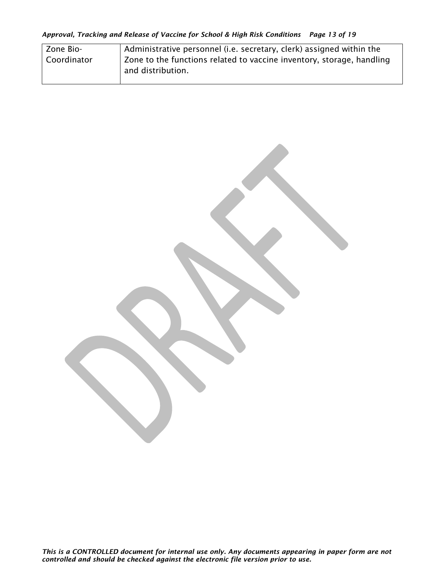| Zone Bio-     | Administrative personnel (i.e. secretary, clerk) assigned within the                       |
|---------------|--------------------------------------------------------------------------------------------|
| l Coordinator | Zone to the functions related to vaccine inventory, storage, handling<br>and distribution. |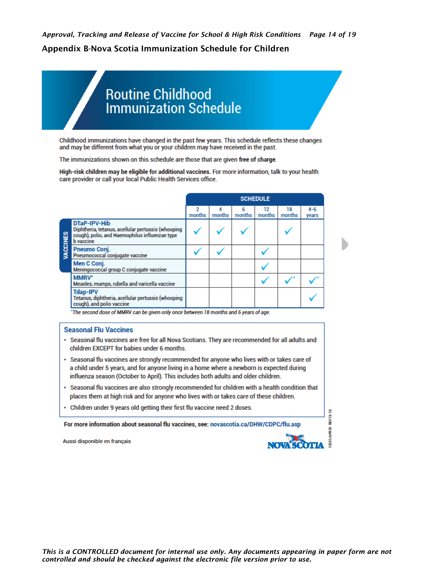# <span id="page-13-0"></span>**Routine Childhood Immunization Schedule**

Childhood immunizations have changed in the past few years. This schedule reflects these changes and may be different from what you or your children may have received in the past.

The immunizations shown on this schedule are those that are given free of charge.

High-risk children may be eligible for additional vaccines. For more information, talk to your health care provider or call your local Public Health Services office.

|        |                                                                                                                                          |             |        |             | <b>SCHEDULE</b> |              |                  |
|--------|------------------------------------------------------------------------------------------------------------------------------------------|-------------|--------|-------------|-----------------|--------------|------------------|
|        |                                                                                                                                          | 2<br>months | months | 6<br>months | 12<br>months    | 18<br>months | $4 - 6$<br>years |
| CCINES | DTaP-IPV-Hib<br>Diphtheria, tetanus, acellular pertussis (whooping<br>cough), polio, and Haemophilus influenzae type<br><b>b</b> vaccine |             |        |             |                 |              |                  |
|        | Pneumo Conj.<br>Pneumococcal conjugate vaccine                                                                                           |             |        |             |                 |              |                  |
|        | Men C Conj.<br>Meningococcal group C conjugate vaccine                                                                                   |             |        |             |                 |              |                  |
|        | MMRV*<br>Measles, mumps, rubella and varicella vaccine                                                                                   |             |        |             |                 |              |                  |
|        | <b>Tdap-IPV</b><br>Tetanus, diphtheria, acellular pertussis (whooping<br>cough), and polio vaccine                                       |             |        |             |                 |              |                  |

\*The second dose of MMRV can be given only once between 18 months and 6 years of age.

#### **Seasonal Flu Vaccines**

- · Seasonal flu vaccines are free for all Nova Scotians. They are recommended for all adults and children EXCEPT for babies under 6 months.
- · Seasonal flu vaccines are strongly recommended for anyone who lives with or takes care of a child under 5 years, and for anyone living in a home where a newborn is expected during influenza season (October to April). This includes both adults and older children.
- · Seasonal flu vaccines are also strongly recommended for children with a health condition that places them at high risk and for anyone who lives with or takes care of these children.
- Children under 9 years old getting their first flu vaccine need 2 doses.

For more information about seasonal flu vaccines, see: novascotia.ca/DHW/CDPC/flu.asp

Aussi disponible en français



**REV15-16**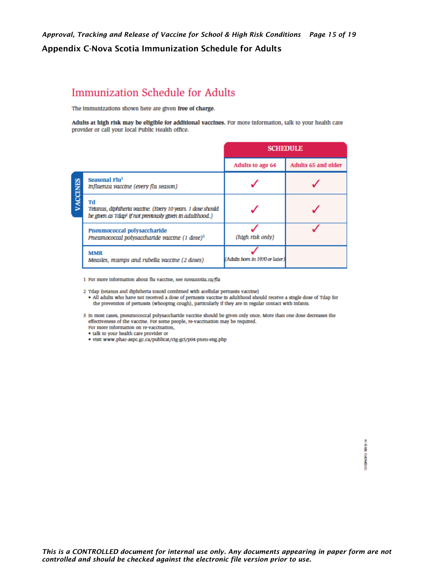# <span id="page-14-0"></span>**Immunization Schedule for Adults**

The immunizations shown here are given free of charge.

Adults at high risk may be eligible for additional vaccines. For more information, talk to your health care provider or call your local Public Health office.

|       |                                                                                                                                           | <b>SCHEDULE</b>                |                     |
|-------|-------------------------------------------------------------------------------------------------------------------------------------------|--------------------------------|---------------------|
|       |                                                                                                                                           | Adults to age 64               | Adults 65 and older |
| CINES | Seasonal Flu <sup>1</sup><br>Influenza vaccine (every flu season)                                                                         |                                |                     |
|       | Td<br>Tetanus, diphiheria vaccine. (Every 10 years. 1 dose should<br>be given as Tdap <sup>2</sup> if not previously given in adulthood.) |                                |                     |
|       | Pneumococcal polysaccharide<br>Prieumococcal polysaccharide vaccine (1 dose) <sup>3</sup>                                                 | (htgh rtsk only)               |                     |
|       | <b>MMR</b><br>Measles, mumps and rubella vaccine (2 doses)                                                                                | (Adults born in 1970 or later) |                     |

1 For more information about flu vaccine, see novascotia.ca/flu

2 Tdap (tetanus and diphtheria toxoid combined with acellular pertussis vaccine)

- . All adults who have not received a dose of pertussis vaccine in adulthood should receive a single dose of Tdap for the prevention of pertussis (whooping cough), particularly if they are in regular contact with infants.
- 3 In most cases, pneumococcal polysaccharide vaccine should be given only once. More than one dose decreases the effectiveness of the vaccine. For some people, re-vaccination may be required. For more information on re-vaccination,
	- talk to your health care provider or
	- · visit www.phac-aspc.gc.ca/publicat/cig-gci/p04-pneu-eng.php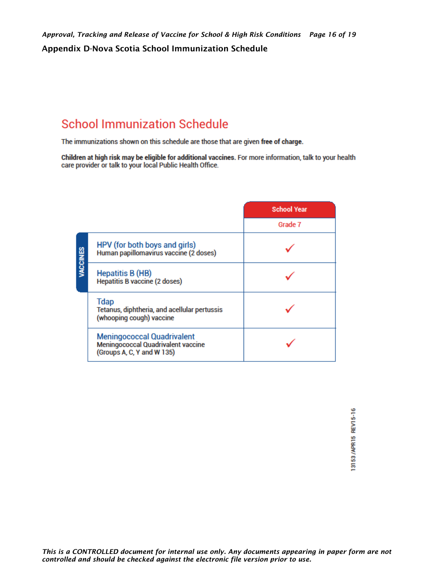# <span id="page-15-0"></span>**School Immunization Schedule**

The immunizations shown on this schedule are those that are given free of charge.

Children at high risk may be eligible for additional vaccines. For more information, talk to your health care provider or talk to your local Public Health Office.

|          |                                                                                                              | <b>School Year</b> |
|----------|--------------------------------------------------------------------------------------------------------------|--------------------|
|          |                                                                                                              | Grade 7            |
| VACCINES | HPV (for both boys and girls)<br>Human papillomavirus vaccine (2 doses)                                      |                    |
|          | <b>Hepatitis B (HB)</b><br>Hepatitis B vaccine (2 doses)                                                     |                    |
|          | <b>Tdap</b><br>Tetanus, diphtheria, and acellular pertussis<br>(whooping cough) vaccine                      |                    |
|          | <b>Meningococcal Quadrivalent</b><br><b>Meningococcal Quadrivalent vaccine</b><br>(Groups A, C, Y and W 135) |                    |

13153/APR15 REV15-16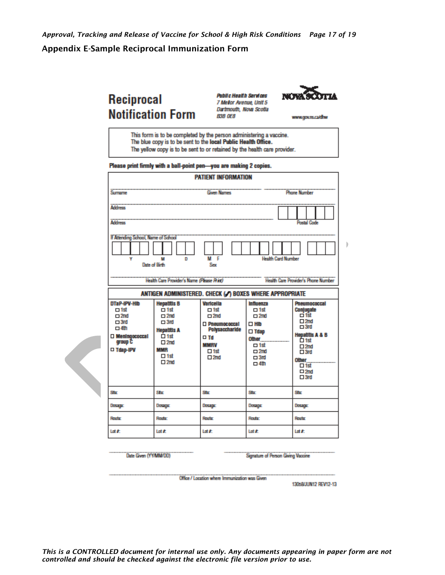#### <span id="page-16-0"></span>**Appendix E-Sample Reciprocal Immunization Form**

# Reciprocal **Notification Form**

**Public Health Services** 7 Mellor Avenue, Unit 5 Dartmouth, Nova Scotla **B3B OE8** 



www.gours.ca/dhw

b

This form is to be completed by the person administering a vaccine. The blue copy is to be sent to the local Public Health Office. The yellow copy is to be sent to or retained by the health care provider.

Please print firmly with a ball-point pen-you are making 2 copies.

| <b>PATIENT INFORMATION</b>                                                                                                  |                                                                                                                                                                             |                                                                                                                                            |                                                                                                                                                  |                                                                                                                                                                                                         |  |
|-----------------------------------------------------------------------------------------------------------------------------|-----------------------------------------------------------------------------------------------------------------------------------------------------------------------------|--------------------------------------------------------------------------------------------------------------------------------------------|--------------------------------------------------------------------------------------------------------------------------------------------------|---------------------------------------------------------------------------------------------------------------------------------------------------------------------------------------------------------|--|
| Sumarre                                                                                                                     |                                                                                                                                                                             | <b>Given Names</b>                                                                                                                         |                                                                                                                                                  | <b>Phone Number</b>                                                                                                                                                                                     |  |
| <b>Address</b>                                                                                                              |                                                                                                                                                                             |                                                                                                                                            |                                                                                                                                                  |                                                                                                                                                                                                         |  |
| <b>Address</b>                                                                                                              |                                                                                                                                                                             |                                                                                                                                            |                                                                                                                                                  | <b>Postal Code</b>                                                                                                                                                                                      |  |
| If Attending School, Name of School<br>٧                                                                                    | D<br>M<br>Date of Birth<br>Health Care Provider's Name (Please Rint)                                                                                                        | м<br>г<br>Sex                                                                                                                              | <b>Health Card Number</b>                                                                                                                        | <b>Health Care Provider's Phone Number</b>                                                                                                                                                              |  |
|                                                                                                                             | ANTIGEN ADMINISTERED. CHECK (A) BOXES WHERE APPROPRIATE                                                                                                                     |                                                                                                                                            |                                                                                                                                                  |                                                                                                                                                                                                         |  |
| DTaP-IPV-HID<br>$\Box$ 1st<br>$\square$ 2nd<br>$\Box$ 3rd<br>$\Box$ 4th<br>$\square$ Meningococcal<br>group C<br>□ Tdap-IPV | <b>Hepatitis B</b><br>$\dot{\Box}$ 1st<br>$\square$ 2nd<br>$\Box$ 3rd<br><b>Hepatitis A</b><br>$\overline{\Box}$ 1st<br>$\square$ 2nd<br>MMR<br>$\Box$ 1st<br>$\square$ 2nd | Varicella<br>$\Box$ 1st<br>$\square$ 2nd<br>□ Pneumococcal<br>Polysaccharide<br>$\square$ Td<br><b>MMRV</b><br>$\Box$ 1st<br>$\square 2nd$ | Influenza<br>$\Box$ 1st<br>$\square$ 2nd<br>$\square$ Hilb<br>$\square$ Tdap<br>Other<br>$\Box$ 1st<br>$\square$ 2nd<br>$\Box$ 3rd<br>$\Box$ 4th | Pneumococcal<br>Conjugate<br>□ 1st<br>$\square 2nd$<br>$\square$ 3rd<br><b>Hepatitis A &amp; B</b><br>Ô 1st<br>$\square 2nd$<br>$\square$ 3rd<br><b>Other</b><br>$\Box$ 1st<br>$\Box 2nd$<br>$\Box$ 3rd |  |
| Shop                                                                                                                        | Ste                                                                                                                                                                         | Shop                                                                                                                                       | Star                                                                                                                                             | Shop                                                                                                                                                                                                    |  |
| Dosaga:                                                                                                                     | Dosage                                                                                                                                                                      | <b>DESIGN</b>                                                                                                                              | Dorage                                                                                                                                           | Dosagar                                                                                                                                                                                                 |  |
| Route                                                                                                                       | Route:                                                                                                                                                                      | Route                                                                                                                                      | <b>Route:</b>                                                                                                                                    | Route                                                                                                                                                                                                   |  |
| Lot #:                                                                                                                      | Lot #                                                                                                                                                                       | Lot #:                                                                                                                                     | Lotif                                                                                                                                            | Lot #                                                                                                                                                                                                   |  |

Date Given (YY/MM/DD)

Signature of Person Giving Vaccine

Office / Location where Immunization was Given

130s8/JUN12 REV12-13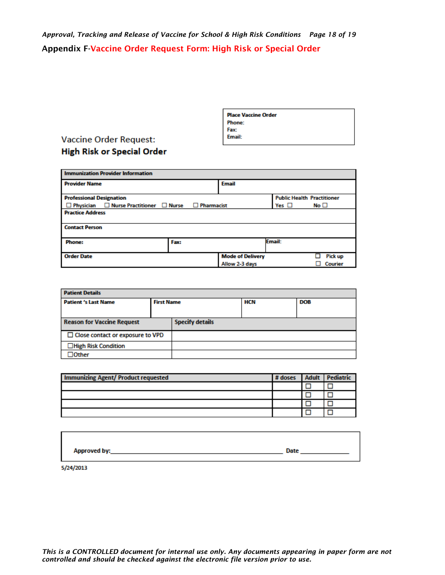<span id="page-17-0"></span>*Approval, Tracking and Release of Vaccine for School & High Risk Conditions Page 18 of 19* Appendix F-Vaccine Order Request Form: High Risk or Special Order

| <b>Place Vaccine Order</b> |  |
|----------------------------|--|
| <b>Phone:</b>              |  |
| Fax:                       |  |
| Email:                     |  |
|                            |  |

## **Vaccine Order Request: High Risk or Special Order**

| <b>Immunization Provider Information</b>                |                   |                         |                                   |              |
|---------------------------------------------------------|-------------------|-------------------------|-----------------------------------|--------------|
| <b>Provider Name</b>                                    |                   | <b>Email</b>            |                                   |              |
| <b>Professional Designation</b>                         |                   |                         | <b>Public Health Practitioner</b> |              |
| $\Box$ Physician $\Box$ Nurse Practitioner $\Box$ Nurse | $\Box$ Pharmacist |                         | Yes $\Box$                        | No $\square$ |
| <b>Practice Address</b><br><b>Contact Person</b>        |                   |                         |                                   |              |
| <b>Phone:</b>                                           | Fax:              |                         | Email:                            |              |
| <b>Order Date</b>                                       |                   | <b>Mode of Delivery</b> |                                   | Pick up      |
|                                                         |                   | Allow 2-3 days          |                                   | Courier      |

| <b>Patient Details</b>                  |                   |                        |     |            |
|-----------------------------------------|-------------------|------------------------|-----|------------|
| <b>Patient 's Last Name</b>             | <b>First Name</b> |                        | HCN | <b>DOB</b> |
|                                         |                   |                        |     |            |
| <b>Reason for Vaccine Request</b>       |                   | <b>Specify details</b> |     |            |
| $\Box$ Close contact or exposure to VPD |                   |                        |     |            |
| $\Box$ High Risk Condition              |                   |                        |     |            |
| $J$ Other                               |                   |                        |     |            |

| <b>Immunizing Agent/ Product requested</b> | # doses | <b>Adult</b> | <b>Pediatric</b> |
|--------------------------------------------|---------|--------------|------------------|
|                                            |         |              |                  |
|                                            |         |              |                  |
|                                            |         |              |                  |
|                                            |         |              |                  |

| <b>Approved by:</b> | Date |
|---------------------|------|
|                     |      |

5/24/2013